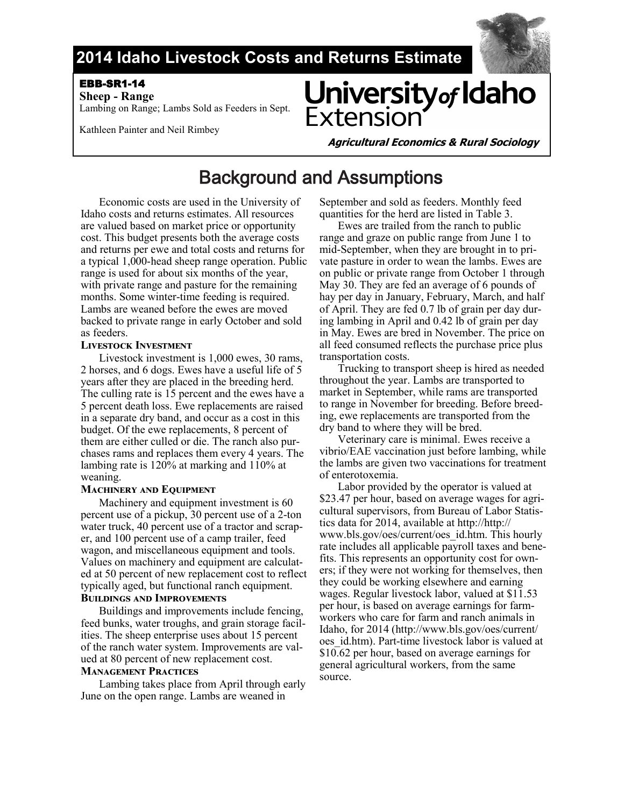

## **2014 Idaho Livestock Costs and Returns Estimate**

### EBB-SR1-14

 **Sheep - Range**  Lambing on Range; Lambs Sold as Feeders in Sept.

Kathleen Painter and Neil Rimbey

# University of Idaho Extensior

**Agricultural Economics & Rural Sociology** 

## Background and Assumptions

Economic costs are used in the University of Idaho costs and returns estimates. All resources are valued based on market price or opportunity cost. This budget presents both the average costs and returns per ewe and total costs and returns for a typical 1,000-head sheep range operation. Public range is used for about six months of the year, with private range and pasture for the remaining months. Some winter-time feeding is required. Lambs are weaned before the ewes are moved backed to private range in early October and sold as feeders.

#### **Livestock Investment**

Livestock investment is 1,000 ewes, 30 rams, 2 horses, and 6 dogs. Ewes have a useful life of 5 years after they are placed in the breeding herd. The culling rate is 15 percent and the ewes have a 5 percent death loss. Ewe replacements are raised in a separate dry band, and occur as a cost in this budget. Of the ewe replacements, 8 percent of them are either culled or die. The ranch also purchases rams and replaces them every 4 years. The lambing rate is 120% at marking and 110% at weaning.

#### **Machinery and Equipment**

Machinery and equipment investment is 60 percent use of a pickup, 30 percent use of a 2-ton water truck, 40 percent use of a tractor and scraper, and 100 percent use of a camp trailer, feed wagon, and miscellaneous equipment and tools. Values on machinery and equipment are calculated at 50 percent of new replacement cost to reflect typically aged, but functional ranch equipment.

#### **Buildings and Improvements**

Buildings and improvements include fencing, feed bunks, water troughs, and grain storage facilities. The sheep enterprise uses about 15 percent of the ranch water system. Improvements are valued at 80 percent of new replacement cost.

#### **Management Practices**

Lambing takes place from April through early June on the open range. Lambs are weaned in

September and sold as feeders. Monthly feed quantities for the herd are listed in Table 3.

Ewes are trailed from the ranch to public range and graze on public range from June 1 to mid-September, when they are brought in to private pasture in order to wean the lambs. Ewes are on public or private range from October 1 through May 30. They are fed an average of 6 pounds of hay per day in January, February, March, and half of April. They are fed 0.7 lb of grain per day during lambing in April and 0.42 lb of grain per day in May. Ewes are bred in November. The price on all feed consumed reflects the purchase price plus transportation costs.

Trucking to transport sheep is hired as needed throughout the year. Lambs are transported to market in September, while rams are transported to range in November for breeding. Before breeding, ewe replacements are transported from the dry band to where they will be bred.

Veterinary care is minimal. Ewes receive a vibrio/EAE vaccination just before lambing, while the lambs are given two vaccinations for treatment of enterotoxemia.

Labor provided by the operator is valued at \$23.47 per hour, based on average wages for agricultural supervisors, from Bureau of Labor Statistics data for 2014, available at http://http:// www.bls.gov/oes/current/oes\_id.htm. This hourly rate includes all applicable payroll taxes and benefits. This represents an opportunity cost for owners; if they were not working for themselves, then they could be working elsewhere and earning wages. Regular livestock labor, valued at \$11.53 per hour, is based on average earnings for farmworkers who care for farm and ranch animals in Idaho, for 2014 (http://www.bls.gov/oes/current/ oes\_id.htm). Part-time livestock labor is valued at \$10.62 per hour, based on average earnings for general agricultural workers, from the same source.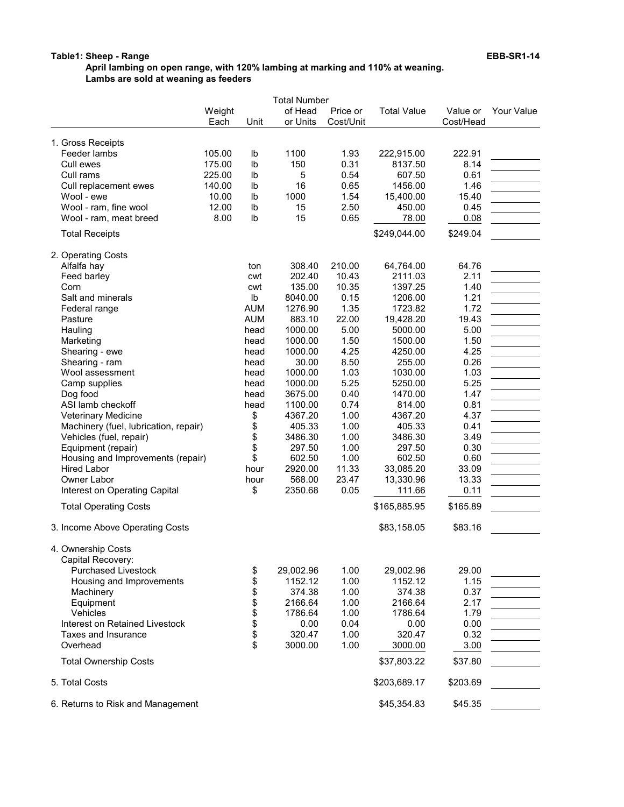#### Table1: Sheep - Range EBB-SR1-14

April lambing on open range, with 120% lambing at marking and 110% at weaning. Lambs are sold at weaning as feeders

|                                       | Weight<br>Each | Unit       | of Head<br>or Units | Price or<br>Cost/Unit | <b>Total Value</b> | Value or<br>Cost/Head | Your Value |
|---------------------------------------|----------------|------------|---------------------|-----------------------|--------------------|-----------------------|------------|
| 1. Gross Receipts                     |                |            |                     |                       |                    |                       |            |
| Feeder lambs                          | 105.00         | Ib         | 1100                | 1.93                  | 222,915.00         | 222.91                |            |
| Cull ewes                             | 175.00         | lb         | 150                 | 0.31                  | 8137.50            | 8.14                  |            |
| Cull rams                             | 225.00         | lb         | 5                   | 0.54                  | 607.50             | 0.61                  |            |
| Cull replacement ewes                 | 140.00         | lb         | 16                  | 0.65                  | 1456.00            | 1.46                  |            |
| Wool - ewe                            | 10.00          | lb         | 1000                | 1.54                  | 15,400.00          | 15.40                 |            |
| Wool - ram, fine wool                 | 12.00          | lb         | 15                  | 2.50                  | 450.00             | 0.45                  |            |
| Wool - ram, meat breed                | 8.00           | Ib         | 15                  | 0.65                  | 78.00              | 0.08                  |            |
| <b>Total Receipts</b>                 |                |            |                     |                       | \$249,044.00       | \$249.04              |            |
| 2. Operating Costs                    |                |            |                     |                       |                    |                       |            |
| Alfalfa hay                           |                | ton        | 308.40              | 210.00                | 64,764.00          | 64.76                 |            |
| Feed barley                           |                | cwt        | 202.40              | 10.43                 | 2111.03            | 2.11                  |            |
| Corn                                  |                | cwt        | 135.00              | 10.35                 | 1397.25            | 1.40                  |            |
| Salt and minerals                     |                | Ib         | 8040.00             | 0.15                  | 1206.00            | 1.21                  |            |
| Federal range                         |                | <b>AUM</b> | 1276.90             | 1.35                  | 1723.82            | 1.72                  |            |
| Pasture                               |                | <b>AUM</b> | 883.10              | 22.00                 | 19,428.20          | 19.43                 |            |
| Hauling                               |                | head       | 1000.00             | 5.00                  | 5000.00            | 5.00                  |            |
| Marketing                             |                | head       | 1000.00             | 1.50                  | 1500.00            | 1.50                  |            |
| Shearing - ewe                        |                | head       | 1000.00             | 4.25                  | 4250.00            | 4.25                  |            |
| Shearing - ram                        |                | head       | 30.00               | 8.50                  | 255.00             | 0.26                  |            |
| Wool assessment                       |                | head       | 1000.00             | 1.03                  | 1030.00            | 1.03                  |            |
| Camp supplies                         |                | head       | 1000.00             | 5.25                  | 5250.00            | 5.25                  |            |
| Dog food                              |                | head       | 3675.00             | 0.40                  | 1470.00            | 1.47                  |            |
| ASI lamb checkoff                     |                | head       | 1100.00             | 0.74                  | 814.00             | 0.81                  |            |
| Veterinary Medicine                   |                | \$         | 4367.20             | 1.00                  | 4367.20            | 4.37                  |            |
| Machinery (fuel, lubrication, repair) |                | \$         | 405.33              | 1.00                  | 405.33             | 0.41                  |            |
| Vehicles (fuel, repair)               |                |            | 3486.30             | 1.00                  | 3486.30            | 3.49                  |            |
| Equipment (repair)                    |                | \$         | 297.50              | 1.00                  | 297.50             | 0.30                  |            |
| Housing and Improvements (repair)     |                | \$         | 602.50              | 1.00                  | 602.50             | 0.60                  |            |
| <b>Hired Labor</b>                    |                | hour       | 2920.00             | 11.33                 | 33,085.20          | 33.09                 |            |
| Owner Labor                           |                | hour       | 568.00              | 23.47                 | 13,330.96          | 13.33                 |            |
| Interest on Operating Capital         |                | \$         | 2350.68             | 0.05                  | 111.66             | 0.11                  |            |
| <b>Total Operating Costs</b>          |                |            |                     |                       | \$165,885.95       | \$165.89              |            |
| 3. Income Above Operating Costs       |                |            |                     |                       | \$83,158.05        | \$83.16               |            |
| 4. Ownership Costs                    |                |            |                     |                       |                    |                       |            |
| Capital Recovery:                     |                |            |                     |                       |                    |                       |            |
| <b>Purchased Livestock</b>            |                | \$         | 29,002.96           | 1.00                  | 29,002.96          | 29.00                 |            |
| Housing and Improvements              |                | \$         | 1152.12             | 1.00                  | 1152.12            | 1.15                  |            |
| Machinery                             |                | \$         | 374.38              | 1.00                  | 374.38             | 0.37                  |            |
| Equipment                             |                |            | 2166.64             | 1.00                  | 2166.64            | 2.17                  |            |
| Vehicles                              |                | \$<br>\$   | 1786.64             | 1.00                  | 1786.64            | 1.79                  |            |
| Interest on Retained Livestock        |                | \$         | 0.00                | 0.04                  | 0.00               | 0.00                  |            |
| Taxes and Insurance                   |                | \$         | 320.47              | 1.00                  | 320.47             | 0.32                  |            |
| Overhead                              |                | \$         | 3000.00             | 1.00                  | 3000.00            | 3.00                  |            |
| <b>Total Ownership Costs</b>          |                |            |                     |                       | \$37,803.22        | \$37.80               |            |
|                                       |                |            |                     |                       |                    |                       |            |
| 5. Total Costs                        |                |            |                     |                       | \$203,689.17       | \$203.69              |            |
| 6. Returns to Risk and Management     |                |            |                     |                       | \$45,354.83        | \$45.35               |            |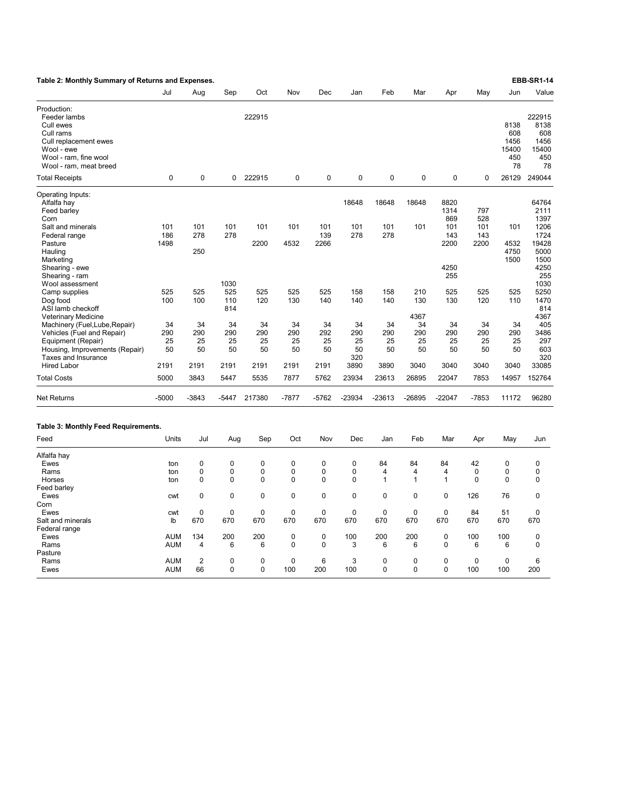| Table 2: Monthly Summary of Returns and Expenses.                                                                                               |                       |                                           |                       |                                           |                            |                       |                                           |                         |                                      |                                           |                                  |                                           | <b>EBB-SR1-14</b>                                      |
|-------------------------------------------------------------------------------------------------------------------------------------------------|-----------------------|-------------------------------------------|-----------------------|-------------------------------------------|----------------------------|-----------------------|-------------------------------------------|-------------------------|--------------------------------------|-------------------------------------------|----------------------------------|-------------------------------------------|--------------------------------------------------------|
|                                                                                                                                                 | Jul                   | Aug                                       | Sep                   | Oct                                       | Nov                        | Dec                   | Jan                                       | Feb                     | Mar                                  | Apr                                       | May                              | Jun                                       | Value                                                  |
| Production:<br>Feeder lambs<br>Cull ewes<br>Cull rams<br>Cull replacement ewes<br>Wool - ewe<br>Wool - ram, fine wool<br>Wool - ram, meat breed |                       |                                           |                       | 222915                                    |                            |                       |                                           |                         |                                      |                                           |                                  | 8138<br>608<br>1456<br>15400<br>450<br>78 | 222915<br>8138<br>608<br>1456<br>15400<br>450<br>78    |
| <b>Total Receipts</b>                                                                                                                           | 0                     | 0                                         | 0                     | 222915                                    | $\mathbf 0$                | $\mathbf 0$           | $\mathbf 0$                               | 0                       | $\pmb{0}$                            | $\pmb{0}$                                 | 0                                | 26129                                     | 249044                                                 |
| Operating Inputs:<br>Alfalfa hay<br>Feed barley<br>Corn<br>Salt and minerals<br>Federal range<br>Pasture<br>Hauling                             | 101<br>186<br>1498    | 101<br>278<br>250                         | 101<br>278            | 101<br>2200                               | 101<br>4532                | 101<br>139<br>2266    | 18648<br>101<br>278                       | 18648<br>101<br>278     | 18648<br>101                         | 8820<br>1314<br>869<br>101<br>143<br>2200 | 797<br>528<br>101<br>143<br>2200 | 101<br>4532<br>4750                       | 64764<br>2111<br>1397<br>1206<br>1724<br>19428<br>5000 |
| Marketing<br>Shearing - ewe<br>Shearing - ram<br>Wool assessment                                                                                |                       |                                           | 1030                  |                                           |                            |                       |                                           |                         |                                      | 4250<br>255                               |                                  | 1500                                      | 1500<br>4250<br>255<br>1030                            |
| Camp supplies<br>Dog food<br>ASI lamb checkoff<br><b>Veterinary Medicine</b>                                                                    | 525<br>100            | 525<br>100                                | 525<br>110<br>814     | 525<br>120                                | 525<br>130                 | 525<br>140            | 158<br>140                                | 158<br>140              | 210<br>130<br>4367                   | 525<br>130                                | 525<br>120                       | 525<br>110                                | 5250<br>1470<br>814<br>4367                            |
| Machinery (Fuel, Lube, Repair)<br>Vehicles (Fuel and Repair)<br>Equipment (Repair)<br>Housing, Improvements (Repair)<br>Taxes and Insurance     | 34<br>290<br>25<br>50 | 34<br>290<br>25<br>50                     | 34<br>290<br>25<br>50 | 34<br>290<br>25<br>50                     | 34<br>290<br>25<br>50      | 34<br>292<br>25<br>50 | 34<br>290<br>25<br>50<br>320              | 34<br>290<br>25<br>50   | 34<br>290<br>25<br>50                | 34<br>290<br>25<br>50                     | 34<br>290<br>25<br>50            | 34<br>290<br>25<br>50                     | 405<br>3486<br>297<br>603<br>320                       |
| <b>Hired Labor</b>                                                                                                                              | 2191                  | 2191                                      | 2191                  | 2191                                      | 2191                       | 2191                  | 3890                                      | 3890                    | 3040                                 | 3040                                      | 3040                             | 3040                                      | 33085                                                  |
| <b>Total Costs</b>                                                                                                                              | 5000                  | 3843                                      | 5447                  | 5535                                      | 7877                       | 5762                  | 23934                                     | 23613                   | 26895                                | 22047                                     | 7853                             | 14957                                     | 152764                                                 |
| <b>Net Returns</b>                                                                                                                              | $-5000$               | $-3843$                                   | -5447                 | 217380                                    | $-7877$                    | $-5762$               | $-23934$                                  | $-23613$                | -26895                               | $-22047$                                  | $-7853$                          | 11172                                     | 96280                                                  |
| Table 3: Monthly Feed Requirements.                                                                                                             |                       |                                           |                       |                                           |                            |                       |                                           |                         |                                      |                                           |                                  |                                           |                                                        |
| Feed                                                                                                                                            | Units                 | Jul                                       | Aug                   | Sep                                       | Oct                        | Nov                   | Dec                                       | Jan                     | Feb                                  | Mar                                       | Apr                              | May                                       | Jun                                                    |
| Alfalfa hay<br>Ewes<br>Rams<br>Horses                                                                                                           | ton<br>ton<br>ton     | $\mathbf 0$<br>$\mathbf 0$<br>$\mathbf 0$ | 0<br>0<br>0           | $\mathbf 0$<br>$\mathbf 0$<br>$\mathbf 0$ | $\mathbf 0$<br>0<br>0      | 0<br>0<br>0           | $\mathbf 0$<br>$\mathbf 0$<br>$\mathbf 0$ | 84<br>4<br>$\mathbf{1}$ | 84<br>$\overline{4}$<br>$\mathbf{1}$ | 84<br>$\overline{4}$<br>$\mathbf{1}$      | 42<br>0<br>$\mathbf 0$           | 0<br>0<br>0                               | 0<br>0<br>0                                            |
| Feed barley<br>Ewes<br>Corn                                                                                                                     | cwt                   | 0                                         | $\mathbf 0$           | $\mathbf 0$                               | $\mathbf 0$                | $\mathbf 0$           | $\pmb{0}$                                 | $\mathbf 0$             | $\mathbf 0$                          | $\mathbf 0$                               | 126                              | 76                                        | $\mathbf 0$                                            |
| Ewes<br>Salt and minerals<br>Federal range                                                                                                      | cwt<br>lb             | $\mathbf 0$<br>670                        | $\mathbf 0$<br>670    | $\mathbf 0$<br>670                        | $\mathbf 0$<br>670         | $\Omega$<br>670       | $\mathbf 0$<br>670                        | $\mathbf 0$<br>670      | $\mathbf 0$<br>670                   | $\mathbf 0$<br>670                        | 84<br>670                        | 51<br>670                                 | $\mathbf 0$<br>670                                     |
| Ewes<br>Rams<br>Pasture                                                                                                                         | <b>AUM</b><br>AUM     | 134<br>4                                  | 200<br>6              | 200<br>6                                  | $\mathbf 0$<br>$\mathbf 0$ | $\mathbf 0$<br>0      | 100<br>3                                  | 200<br>6                | 200<br>6                             | $\mathbf 0$<br>$\mathbf 0$                | 100<br>6                         | 100<br>6                                  | $\mathbf 0$<br>0                                       |
| Rams<br>Ewes                                                                                                                                    | AUM<br><b>AUM</b>     | $\overline{2}$<br>66                      | $\Omega$<br>0         | $\Omega$<br>$\mathbf 0$                   | $\Omega$<br>100            | 6<br>200              | 3<br>100                                  | $\Omega$<br>0           | $\mathbf 0$<br>$\mathbf 0$           | $\Omega$<br>0                             | $\Omega$<br>100                  | $\Omega$<br>100                           | 6<br>200                                               |